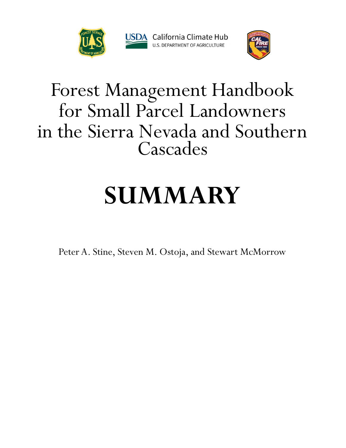



#### Forest Management Handbook for Small Parcel Landowners in the Sierra Nevada and Southern Cascades

# **SUMMARY**

Peter A. Stine, Steven M. Ostoja, and Stewart McMorrow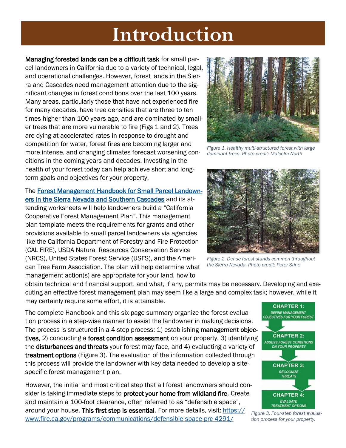### **Introduction**

Managing forested lands can be a difficult task for small parcel landowners in California due to a variety of technical, legal, and operational challenges. However, forest lands in the Sierra and Cascades need management attention due to the significant changes in forest conditions over the last 100 years. Many areas, particularly those that have not experienced fire for many decades, have tree densities that are three to ten times higher than 100 years ago, and are dominated by smaller trees that are more vulnerable to fire (Figs 1 and 2). Trees are dying at accelerated rates in response to drought and competition for water, forest fires are becoming larger and more intense, and changing climates forecast worsening conditions in the coming years and decades. Investing in the health of your forest today can help achieve short and longterm goals and objectives for your property.

#### The [Forest Management Handbook for Small Parcel Landown](https://www.fs.fed.us/psw/publications/documents/psw_inf001/)[ers in the Sierra Nevada and Southern Cascades](https://www.fs.fed.us/psw/publications/documents/psw_inf001/) and its at-

tending worksheets will help landowners build a "California Cooperative Forest Management Plan". This management plan template meets the requirements for grants and other provisions available to small parcel landowners via agencies like the California Department of Forestry and Fire Protection (CAL FIRE), USDA Natural Resources Conservation Service (NRCS), United States Forest Service (USFS), and the American Tree Farm Association. The plan will help determine what management action(s) are appropriate for your land, how to

obtain technical and financial support, and what, if any, permits may be necessary. Developing and executing an effective forest management plan may seem like a large and complex task; however, while it may certainly require some effort, it is attainable.

The complete Handbook and this six-page summary organize the forest evaluation process in a step-wise manner to assist the landowner in making decisions. The process is structured in a 4-step process: 1) establishing management objectives, 2) conducting a forest condition assessment on your property, 3) identifying the disturbances and threats your forest may face, and 4) evaluating a variety of treatment options (Figure 3). The evaluation of the information collected through this process will provide the landowner with key data needed to develop a sitespecific forest management plan.

However, the initial and most critical step that all forest landowners should consider is taking immediate steps to protect your home from wildland fire. Create and maintain a 100-foot clearance, often referred to as "defensible space", around your house. This first step is essential. For more details, visit: [https://](https://www.fire.ca.gov/programs/communications/defensible-space-prc-4291/) [www.fire.ca.gov/programs/communications/defensible-space-prc-4291/](https://www.fire.ca.gov/programs/communications/defensible-space-prc-4291/)



*Figure 1. Healthy multi-structured forest with large dominant trees. Photo credit: Malcolm North*



*Figure 2. Dense forest stands common throughout the Sierra Nevada. Photo credit: Peter Stine*



*Figure 3. Four-step forest evaluation process for your property.*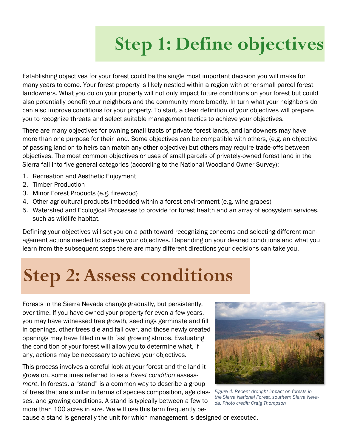# **Step 1: Define objectives**

Establishing objectives for your forest could be the single most important decision you will make for many years to come. Your forest property is likely nestled within a region with other small parcel forest landowners. What you do on your property will not only impact future conditions on your forest but could also potentially benefit your neighbors and the community more broadly. In turn what your neighbors do can also improve conditions for your property. To start, a clear definition of your objectives will prepare you to recognize threats and select suitable management tactics to achieve your objectives.

There are many objectives for owning small tracts of private forest lands, and landowners may have more than one purpose for their land. Some objectives can be compatible with others, (e.g. an objective of passing land on to heirs can match any other objective) but others may require trade-offs between objectives. The most common objectives or uses of small parcels of privately-owned forest land in the Sierra fall into five general categories (according to the National Woodland Owner Survey):

- 1. Recreation and Aesthetic Enjoyment
- 2. Timber Production
- 3. Minor Forest Products (e.g. firewood)
- 4. Other agricultural products imbedded within a forest environment (e.g. wine grapes)
- 5. Watershed and Ecological Processes to provide for forest health and an array of ecosystem services, such as wildlife habitat.

Defining your objectives will set you on a path toward recognizing concerns and selecting different management actions needed to achieve your objectives. Depending on your desired conditions and what you learn from the subsequent steps there are many different directions your decisions can take you.

# **Step 2: Assess conditions**

Forests in the Sierra Nevada change gradually, but persistently, over time. If you have owned your property for even a few years, you may have witnessed tree growth, seedlings germinate and fill in openings, other trees die and fall over, and those newly created openings may have filled in with fast growing shrubs. Evaluating the condition of your forest will allow you to determine what, if any, actions may be necessary to achieve your objectives.

This process involves a careful look at your forest and the land it grows on, sometimes referred to as a *forest condition assessment*. In forests, a "stand" is a common way to describe a group of trees that are similar in terms of species composition, age classes, and growing conditions. A stand is typically between a few to more than 100 acres in size. We will use this term frequently be-



*Figure 4. Recent drought impact on forests in the Sierra National Forest, southern Sierra Nevada. Photo credit: Craig Thompson*

cause a stand is generally the unit for which management is designed or executed.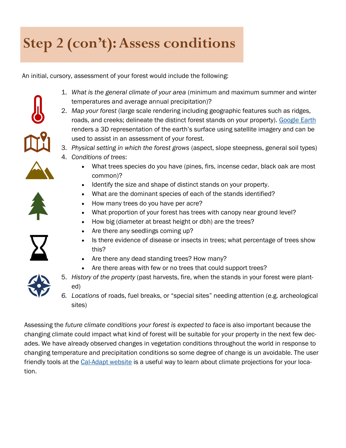#### **Step 2 (con't): Assess conditions**

An initial, cursory, assessment of your forest would include the following:

- 1. *What is the general climate of your area* (minimum and maximum summer and winter temperatures and average annual precipitation)?
- 
- 2. *Map your forest* (large scale rendering including geographic features such as ridges, roads, and creeks; delineate the distinct forest stands on your property). Google Earth renders a 3D representation of the earth's surface using satellite imagery and can be

3. *Physical setting in which the forest grows* (aspect, slope steepness, general soil types)

- -
- What trees species do you have (pines, firs, incense cedar, black oak are most common)?
- Identify the size and shape of distinct stands on your property.
- What are the dominant species of each of the stands identified?
- How many trees do you have per acre?

used to assist in an assessment of your forest.

4. *Conditions of trees*:

- What proportion of your forest has trees with canopy near ground level?
- How big (diameter at breast height or dbh) are the trees?
- Are there any seedlings coming up?
- Is there evidence of disease or insects in trees; what percentage of trees show this?
- Are there any dead standing trees? How many?
- Are there areas with few or no trees that could support trees?
- 
- 5. *History of the property* (past harvests, fire, when the stands in your forest were planted)
- *6. Locations* of roads, fuel breaks, or "special sites" needing attention (e.g. archeological sites)

Assessing the *future climate conditions your forest is expected to face* is also important because the changing climate could impact what kind of forest will be suitable for your property in the next few decades. We have already observed changes in vegetation conditions throughout the world in response to changing temperature and precipitation conditions so some degree of change is un avoidable. The user friendly tools at the [Cal-Adapt website](https://cal-adapt.org/) is a useful way to learn about climate projections for your location.

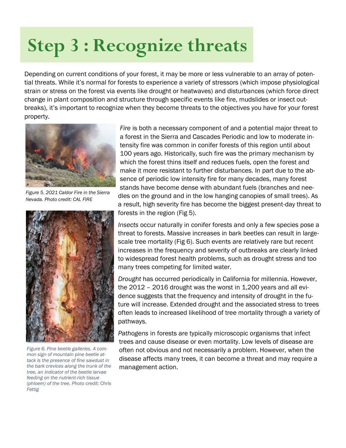## **Step 3 : Recognize threats**

Depending on current conditions of your forest, it may be more or less vulnerable to an array of potential threats. While it's normal for forests to experience a variety of stressors (which impose physiological strain or stress on the forest via events like drought or heatwaves) and disturbances (which force direct change in plant composition and structure through specific events like fire, mudslides or insect outbreaks), it's important to recognize when they become threats to the objectives you have for your forest property.



*Figure 5. 2021 Caldor Fire in the Sierra Nevada. Photo credit: CAL FIRE* 



*Figure 6. Pine beetle galleries. A common sign of mountain pine beetle attack is the presence of fine sawdust in the bark crevices along the trunk of the tree, an indicator of the beetle larvae feeding on the nutrient-rich tissue (phloem) of the tree. Photo credit: Chris Fettig* 

*Fire* is both a necessary component of and a potential major threat to a forest in the Sierra and Cascades Periodic and low to moderate intensity fire was common in conifer forests of this region until about 100 years ago. Historically, such fire was the primary mechanism by which the forest thins itself and reduces fuels, open the forest and make it more resistant to further disturbances. In part due to the absence of periodic low intensity fire for many decades, many forest stands have become dense with abundant fuels (branches and needles on the ground and in the low hanging canopies of small trees). As a result, high severity fire has become the biggest present-day threat to forests in the region (Fig 5).

*Insects* occur naturally in conifer forests and only a few species pose a threat to forests. Massive increases in bark beetles can result in largescale tree mortality (Fig 6). Such events are relatively rare but recent increases in the frequency and severity of outbreaks are clearly linked to widespread forest health problems, such as drought stress and too many trees competing for limited water.

*Drought* has occurred periodically in California for millennia. However, the 2012 – 2016 drought was the worst in 1,200 years and all evidence suggests that the frequency and intensity of drought in the future will increase. Extended drought and the associated stress to trees often leads to increased likelihood of tree mortality through a variety of pathways.

*Pathogens* in forests are typically microscopic organisms that infect trees and cause disease or even mortality. Low levels of disease are often not obvious and not necessarily a problem. However, when the disease affects many trees, it can become a threat and may require a management action.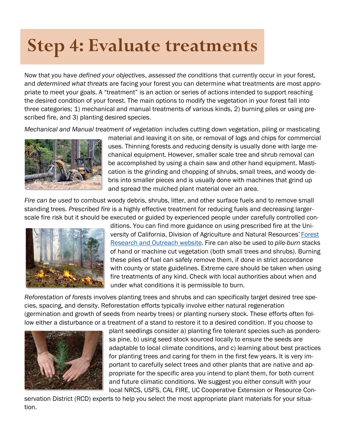### **Step 4: Evaluate treatments**

Now that you have *defined your objectives*, *assessed the conditions* that currently occur in your forest, and *determined what threats* are facing your forest you can determine what treatments are most appropriate to meet your goals. A "treatment" is an action or series of actions intended to support reaching the desired condition of your forest. The main options to modify the vegetation in your forest fall into three categories; 1) mechanical and manual treatments of various kinds, 2) burning piles or using prescribed fire, and 3) planting desired species.

*Mechanical and Manual treatment of vegetation* includes cutting down vegetation, piling or masticating



material and leaving it on site, or removal of logs and chips for commercial uses. Thinning forests and reducing density is usually done with large mechanical equipment. However, smaller scale tree and shrub removal can be accomplished by using a chain saw and other hand equipment. Mastication is the grinding and chopping of shrubs, small trees, and woody debris into smaller pieces and is usually done with machines that grind up and spread the mulched plant material over an area.

*Fire can be used* to combust woody debris, shrubs, litter, and other surface fuels and to remove small standing trees. *Prescribed fire* is a highly effective treatment for reducing fuels and decreasing largerscale fire risk but it should be executed or guided by experienced people under carefully controlled con-



ditions. You can find more guidance on using prescribed fire at the University of California, Division of Agriculture and Natural Resources' [Forest](https://ucanr.edu/sites/forestry/Forest_Vegetation_Management/Prescribed_fire/)  [Research and Outreach website.](https://ucanr.edu/sites/forestry/Forest_Vegetation_Management/Prescribed_fire/) Fire can also be used to *pile-burn* stacks of hand or machine cut vegetation (both small trees and shrubs). Burning these piles of fuel can safely remove them, if done in strict accordance with county or state guidelines. Extreme care should be taken when using fire treatments of any kind. Check with local authorities about when and under what conditions it is permissible to burn.

*Reforestation of forests* involves planting trees and shrubs and can specifically target desired tree species, spacing, and density. Reforestation efforts typically involve either natural regeneration (germination and growth of seeds from nearby trees) or planting nursery stock. These efforts often follow either a disturbance or a treatment of a stand to restore it to a desired condition. If you choose to



plant seedlings consider a) planting fire tolerant species such as ponderosa pine, b) using seed stock sourced locally to ensure the seeds are adaptable to local climate conditions, and c) learning about best practices for planting trees and caring for them in the first few years. It is very important to carefully select trees and other plants that are native and appropriate for the specific area you intend to plant them, for both current and future climatic conditions. We suggest you either consult with your local NRCS, USFS, CAL FIRE, UC Cooperative Extension or Resource Con-

servation District (RCD) experts to help you select the most appropriate plant materials for your situation.